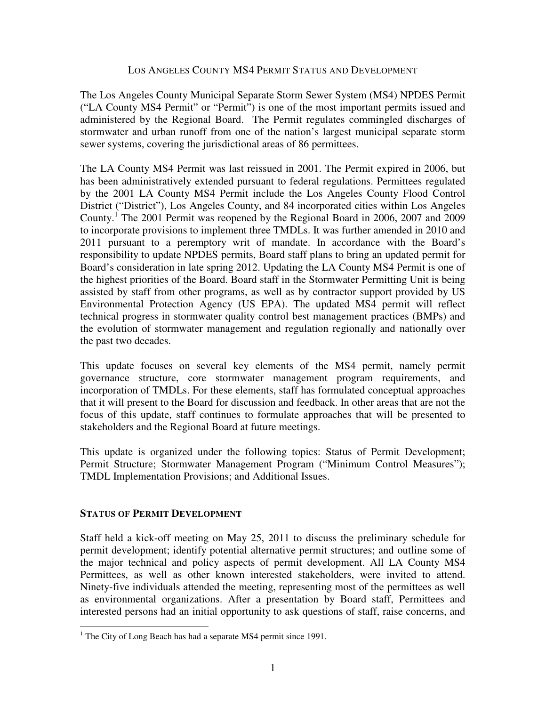#### LOS ANGELES COUNTY MS4 PERMIT STATUS AND DEVELOPMENT

The Los Angeles County Municipal Separate Storm Sewer System (MS4) NPDES Permit ("LA County MS4 Permit" or "Permit") is one of the most important permits issued and administered by the Regional Board. The Permit regulates commingled discharges of stormwater and urban runoff from one of the nation's largest municipal separate storm sewer systems, covering the jurisdictional areas of 86 permittees.

The LA County MS4 Permit was last reissued in 2001. The Permit expired in 2006, but has been administratively extended pursuant to federal regulations. Permittees regulated by the 2001 LA County MS4 Permit include the Los Angeles County Flood Control District ("District"), Los Angeles County, and 84 incorporated cities within Los Angeles County.<sup>1</sup> The 2001 Permit was reopened by the Regional Board in 2006, 2007 and 2009 to incorporate provisions to implement three TMDLs. It was further amended in 2010 and 2011 pursuant to a peremptory writ of mandate. In accordance with the Board's responsibility to update NPDES permits, Board staff plans to bring an updated permit for Board's consideration in late spring 2012. Updating the LA County MS4 Permit is one of the highest priorities of the Board. Board staff in the Stormwater Permitting Unit is being assisted by staff from other programs, as well as by contractor support provided by US Environmental Protection Agency (US EPA). The updated MS4 permit will reflect technical progress in stormwater quality control best management practices (BMPs) and the evolution of stormwater management and regulation regionally and nationally over the past two decades.

This update focuses on several key elements of the MS4 permit, namely permit governance structure, core stormwater management program requirements, and incorporation of TMDLs. For these elements, staff has formulated conceptual approaches that it will present to the Board for discussion and feedback. In other areas that are not the focus of this update, staff continues to formulate approaches that will be presented to stakeholders and the Regional Board at future meetings.

This update is organized under the following topics: Status of Permit Development; Permit Structure; Stormwater Management Program ("Minimum Control Measures"); TMDL Implementation Provisions; and Additional Issues.

#### **STATUS OF PERMIT DEVELOPMENT**

l

Staff held a kick-off meeting on May 25, 2011 to discuss the preliminary schedule for permit development; identify potential alternative permit structures; and outline some of the major technical and policy aspects of permit development. All LA County MS4 Permittees, as well as other known interested stakeholders, were invited to attend. Ninety-five individuals attended the meeting, representing most of the permittees as well as environmental organizations. After a presentation by Board staff, Permittees and interested persons had an initial opportunity to ask questions of staff, raise concerns, and

<sup>&</sup>lt;sup>1</sup> The City of Long Beach has had a separate MS4 permit since 1991.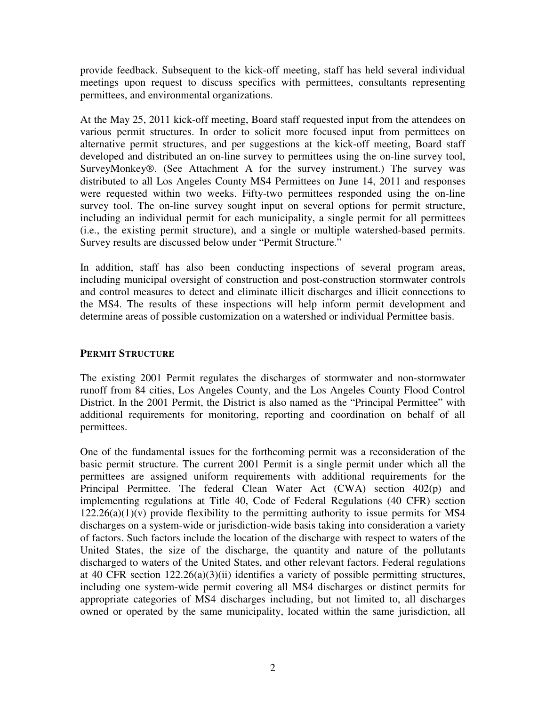provide feedback. Subsequent to the kick-off meeting, staff has held several individual meetings upon request to discuss specifics with permittees, consultants representing permittees, and environmental organizations.

At the May 25, 2011 kick-off meeting, Board staff requested input from the attendees on various permit structures. In order to solicit more focused input from permittees on alternative permit structures, and per suggestions at the kick-off meeting, Board staff developed and distributed an on-line survey to permittees using the on-line survey tool, SurveyMonkey®. (See Attachment A for the survey instrument.) The survey was distributed to all Los Angeles County MS4 Permittees on June 14, 2011 and responses were requested within two weeks. Fifty-two permittees responded using the on-line survey tool. The on-line survey sought input on several options for permit structure, including an individual permit for each municipality, a single permit for all permittees (i.e., the existing permit structure), and a single or multiple watershed-based permits. Survey results are discussed below under "Permit Structure."

In addition, staff has also been conducting inspections of several program areas, including municipal oversight of construction and post-construction stormwater controls and control measures to detect and eliminate illicit discharges and illicit connections to the MS4. The results of these inspections will help inform permit development and determine areas of possible customization on a watershed or individual Permittee basis.

#### **PERMIT STRUCTURE**

The existing 2001 Permit regulates the discharges of stormwater and non-stormwater runoff from 84 cities, Los Angeles County, and the Los Angeles County Flood Control District. In the 2001 Permit, the District is also named as the "Principal Permittee" with additional requirements for monitoring, reporting and coordination on behalf of all permittees.

One of the fundamental issues for the forthcoming permit was a reconsideration of the basic permit structure. The current 2001 Permit is a single permit under which all the permittees are assigned uniform requirements with additional requirements for the Principal Permittee. The federal Clean Water Act (CWA) section 402(p) and implementing regulations at Title 40, Code of Federal Regulations (40 CFR) section  $122.26(a)(1)(v)$  provide flexibility to the permitting authority to issue permits for MS4 discharges on a system-wide or jurisdiction-wide basis taking into consideration a variety of factors. Such factors include the location of the discharge with respect to waters of the United States, the size of the discharge, the quantity and nature of the pollutants discharged to waters of the United States, and other relevant factors. Federal regulations at 40 CFR section 122.26(a)(3)(ii) identifies a variety of possible permitting structures, including one system-wide permit covering all MS4 discharges or distinct permits for appropriate categories of MS4 discharges including, but not limited to, all discharges owned or operated by the same municipality, located within the same jurisdiction, all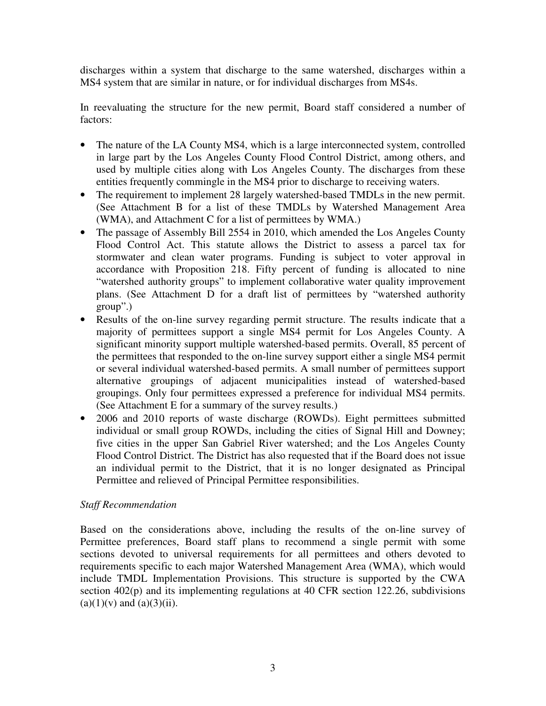discharges within a system that discharge to the same watershed, discharges within a MS4 system that are similar in nature, or for individual discharges from MS4s.

In reevaluating the structure for the new permit, Board staff considered a number of factors:

- The nature of the LA County MS4, which is a large interconnected system, controlled in large part by the Los Angeles County Flood Control District, among others, and used by multiple cities along with Los Angeles County. The discharges from these entities frequently commingle in the MS4 prior to discharge to receiving waters.
- The requirement to implement 28 largely watershed-based TMDLs in the new permit. (See Attachment B for a list of these TMDLs by Watershed Management Area (WMA), and Attachment C for a list of permittees by WMA.)
- The passage of Assembly Bill 2554 in 2010, which amended the Los Angeles County Flood Control Act. This statute allows the District to assess a parcel tax for stormwater and clean water programs. Funding is subject to voter approval in accordance with Proposition 218. Fifty percent of funding is allocated to nine "watershed authority groups" to implement collaborative water quality improvement plans. (See Attachment D for a draft list of permittees by "watershed authority group".)
- Results of the on-line survey regarding permit structure. The results indicate that a majority of permittees support a single MS4 permit for Los Angeles County. A significant minority support multiple watershed-based permits. Overall, 85 percent of the permittees that responded to the on-line survey support either a single MS4 permit or several individual watershed-based permits. A small number of permittees support alternative groupings of adjacent municipalities instead of watershed-based groupings. Only four permittees expressed a preference for individual MS4 permits. (See Attachment E for a summary of the survey results.)
- 2006 and 2010 reports of waste discharge (ROWDs). Eight permittees submitted individual or small group ROWDs, including the cities of Signal Hill and Downey; five cities in the upper San Gabriel River watershed; and the Los Angeles County Flood Control District. The District has also requested that if the Board does not issue an individual permit to the District, that it is no longer designated as Principal Permittee and relieved of Principal Permittee responsibilities.

## *Staff Recommendation*

Based on the considerations above, including the results of the on-line survey of Permittee preferences, Board staff plans to recommend a single permit with some sections devoted to universal requirements for all permittees and others devoted to requirements specific to each major Watershed Management Area (WMA), which would include TMDL Implementation Provisions. This structure is supported by the CWA section 402(p) and its implementing regulations at 40 CFR section 122.26, subdivisions  $(a)(1)(v)$  and  $(a)(3)(ii)$ .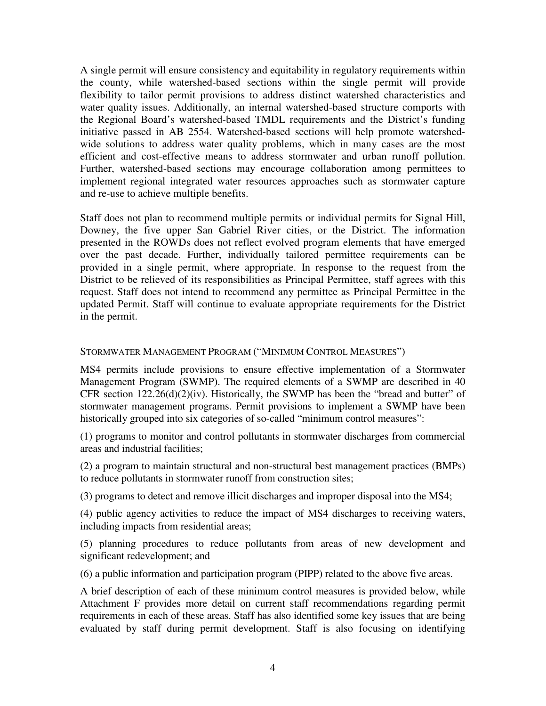A single permit will ensure consistency and equitability in regulatory requirements within the county, while watershed-based sections within the single permit will provide flexibility to tailor permit provisions to address distinct watershed characteristics and water quality issues. Additionally, an internal watershed-based structure comports with the Regional Board's watershed-based TMDL requirements and the District's funding initiative passed in AB 2554. Watershed-based sections will help promote watershedwide solutions to address water quality problems, which in many cases are the most efficient and cost-effective means to address stormwater and urban runoff pollution. Further, watershed-based sections may encourage collaboration among permittees to implement regional integrated water resources approaches such as stormwater capture and re-use to achieve multiple benefits.

Staff does not plan to recommend multiple permits or individual permits for Signal Hill, Downey, the five upper San Gabriel River cities, or the District. The information presented in the ROWDs does not reflect evolved program elements that have emerged over the past decade. Further, individually tailored permittee requirements can be provided in a single permit, where appropriate. In response to the request from the District to be relieved of its responsibilities as Principal Permittee, staff agrees with this request. Staff does not intend to recommend any permittee as Principal Permittee in the updated Permit. Staff will continue to evaluate appropriate requirements for the District in the permit.

#### STORMWATER MANAGEMENT PROGRAM ("MINIMUM CONTROL MEASURES")

MS4 permits include provisions to ensure effective implementation of a Stormwater Management Program (SWMP). The required elements of a SWMP are described in 40 CFR section  $122.26(d)(2)(iv)$ . Historically, the SWMP has been the "bread and butter" of stormwater management programs. Permit provisions to implement a SWMP have been historically grouped into six categories of so-called "minimum control measures":

(1) programs to monitor and control pollutants in stormwater discharges from commercial areas and industrial facilities;

(2) a program to maintain structural and non-structural best management practices (BMPs) to reduce pollutants in stormwater runoff from construction sites;

(3) programs to detect and remove illicit discharges and improper disposal into the MS4;

(4) public agency activities to reduce the impact of MS4 discharges to receiving waters, including impacts from residential areas;

(5) planning procedures to reduce pollutants from areas of new development and significant redevelopment; and

(6) a public information and participation program (PIPP) related to the above five areas.

A brief description of each of these minimum control measures is provided below, while Attachment F provides more detail on current staff recommendations regarding permit requirements in each of these areas. Staff has also identified some key issues that are being evaluated by staff during permit development. Staff is also focusing on identifying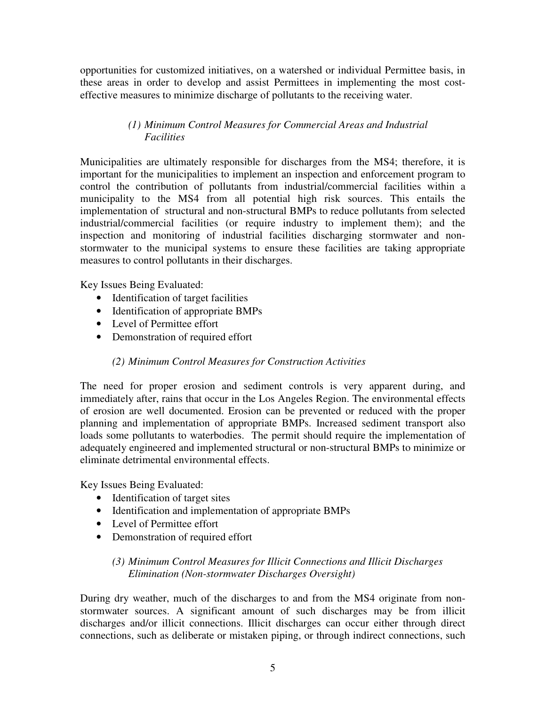opportunities for customized initiatives, on a watershed or individual Permittee basis, in these areas in order to develop and assist Permittees in implementing the most costeffective measures to minimize discharge of pollutants to the receiving water.

# *(1) Minimum Control Measures for Commercial Areas and Industrial Facilities*

Municipalities are ultimately responsible for discharges from the MS4; therefore, it is important for the municipalities to implement an inspection and enforcement program to control the contribution of pollutants from industrial/commercial facilities within a municipality to the MS4 from all potential high risk sources. This entails the implementation of structural and non-structural BMPs to reduce pollutants from selected industrial/commercial facilities (or require industry to implement them); and the inspection and monitoring of industrial facilities discharging stormwater and nonstormwater to the municipal systems to ensure these facilities are taking appropriate measures to control pollutants in their discharges.

Key Issues Being Evaluated:

- Identification of target facilities
- Identification of appropriate BMPs
- Level of Permittee effort
- Demonstration of required effort

## *(2) Minimum Control Measures for Construction Activities*

The need for proper erosion and sediment controls is very apparent during, and immediately after, rains that occur in the Los Angeles Region. The environmental effects of erosion are well documented. Erosion can be prevented or reduced with the proper planning and implementation of appropriate BMPs. Increased sediment transport also loads some pollutants to waterbodies. The permit should require the implementation of adequately engineered and implemented structural or non-structural BMPs to minimize or eliminate detrimental environmental effects.

Key Issues Being Evaluated:

- Identification of target sites
- Identification and implementation of appropriate BMPs
- Level of Permittee effort
- Demonstration of required effort

# *(3) Minimum Control Measures for Illicit Connections and Illicit Discharges Elimination (Non-stormwater Discharges Oversight)*

During dry weather, much of the discharges to and from the MS4 originate from nonstormwater sources. A significant amount of such discharges may be from illicit discharges and/or illicit connections. Illicit discharges can occur either through direct connections, such as deliberate or mistaken piping, or through indirect connections, such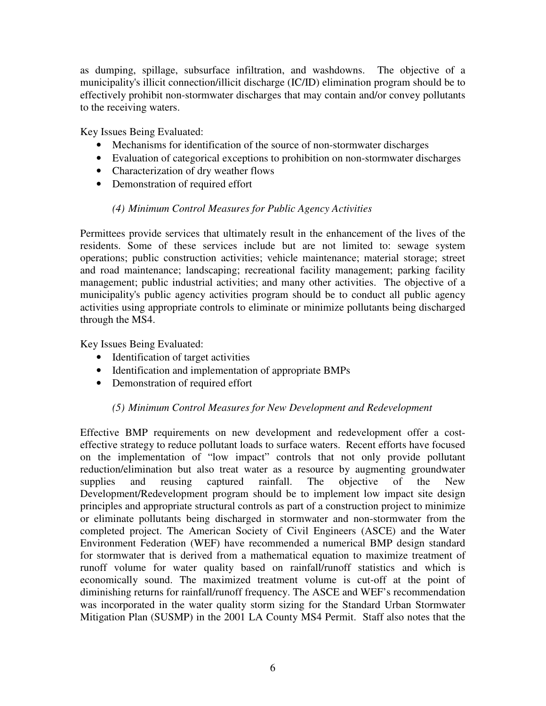as dumping, spillage, subsurface infiltration, and washdowns. The objective of a municipality's illicit connection/illicit discharge (IC/ID) elimination program should be to effectively prohibit non-stormwater discharges that may contain and/or convey pollutants to the receiving waters.

Key Issues Being Evaluated:

- Mechanisms for identification of the source of non-stormwater discharges
- Evaluation of categorical exceptions to prohibition on non-stormwater discharges
- Characterization of dry weather flows
- Demonstration of required effort

## *(4) Minimum Control Measures for Public Agency Activities*

Permittees provide services that ultimately result in the enhancement of the lives of the residents. Some of these services include but are not limited to: sewage system operations; public construction activities; vehicle maintenance; material storage; street and road maintenance; landscaping; recreational facility management; parking facility management; public industrial activities; and many other activities. The objective of a municipality's public agency activities program should be to conduct all public agency activities using appropriate controls to eliminate or minimize pollutants being discharged through the MS4.

Key Issues Being Evaluated:

- Identification of target activities
- Identification and implementation of appropriate BMPs
- Demonstration of required effort

## *(5) Minimum Control Measures for New Development and Redevelopment*

Effective BMP requirements on new development and redevelopment offer a costeffective strategy to reduce pollutant loads to surface waters. Recent efforts have focused on the implementation of "low impact" controls that not only provide pollutant reduction/elimination but also treat water as a resource by augmenting groundwater supplies and reusing captured rainfall. The objective of the New Development/Redevelopment program should be to implement low impact site design principles and appropriate structural controls as part of a construction project to minimize or eliminate pollutants being discharged in stormwater and non-stormwater from the completed project. The American Society of Civil Engineers (ASCE) and the Water Environment Federation (WEF) have recommended a numerical BMP design standard for stormwater that is derived from a mathematical equation to maximize treatment of runoff volume for water quality based on rainfall/runoff statistics and which is economically sound. The maximized treatment volume is cut-off at the point of diminishing returns for rainfall/runoff frequency. The ASCE and WEF's recommendation was incorporated in the water quality storm sizing for the Standard Urban Stormwater Mitigation Plan (SUSMP) in the 2001 LA County MS4 Permit. Staff also notes that the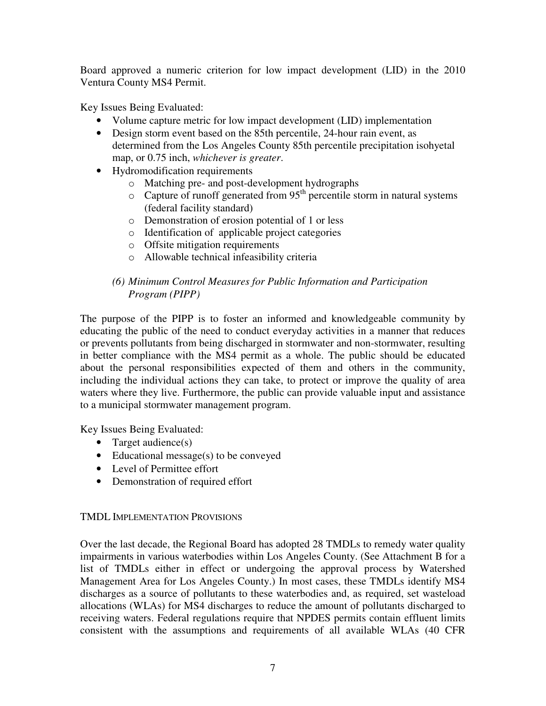Board approved a numeric criterion for low impact development (LID) in the 2010 Ventura County MS4 Permit.

Key Issues Being Evaluated:

- Volume capture metric for low impact development (LID) implementation
- Design storm event based on the 85th percentile, 24-hour rain event, as determined from the Los Angeles County 85th percentile precipitation isohyetal map, or 0.75 inch, *whichever is greater*.
- Hydromodification requirements
	- o Matching pre- and post-development hydrographs
	- $\circ$  Capture of runoff generated from 95<sup>th</sup> percentile storm in natural systems (federal facility standard)
	- o Demonstration of erosion potential of 1 or less
	- o Identification of applicable project categories
	- o Offsite mitigation requirements
	- o Allowable technical infeasibility criteria

# *(6) Minimum Control Measures for Public Information and Participation Program (PIPP)*

The purpose of the PIPP is to foster an informed and knowledgeable community by educating the public of the need to conduct everyday activities in a manner that reduces or prevents pollutants from being discharged in stormwater and non-stormwater, resulting in better compliance with the MS4 permit as a whole. The public should be educated about the personal responsibilities expected of them and others in the community, including the individual actions they can take, to protect or improve the quality of area waters where they live. Furthermore, the public can provide valuable input and assistance to a municipal stormwater management program.

Key Issues Being Evaluated:

- Target audience(s)
- Educational message(s) to be conveyed
- Level of Permittee effort
- Demonstration of required effort

## TMDL IMPLEMENTATION PROVISIONS

Over the last decade, the Regional Board has adopted 28 TMDLs to remedy water quality impairments in various waterbodies within Los Angeles County. (See Attachment B for a list of TMDLs either in effect or undergoing the approval process by Watershed Management Area for Los Angeles County.) In most cases, these TMDLs identify MS4 discharges as a source of pollutants to these waterbodies and, as required, set wasteload allocations (WLAs) for MS4 discharges to reduce the amount of pollutants discharged to receiving waters. Federal regulations require that NPDES permits contain effluent limits consistent with the assumptions and requirements of all available WLAs (40 CFR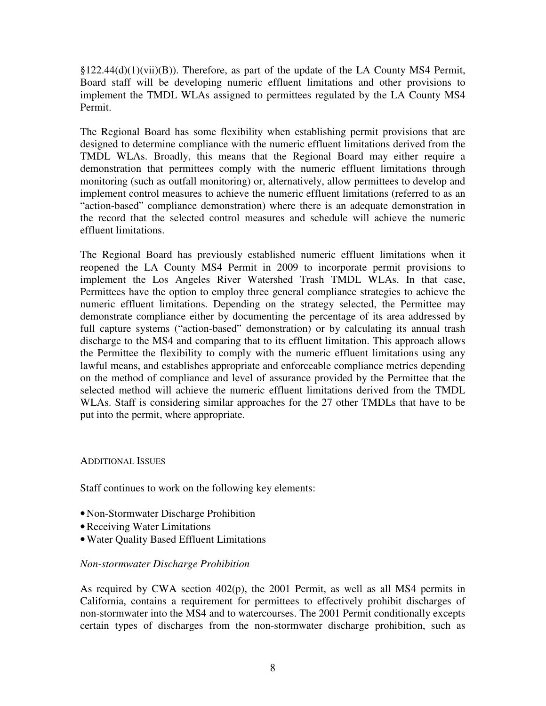$\S 122.44(d)(1)(vii)(B)$ . Therefore, as part of the update of the LA County MS4 Permit, Board staff will be developing numeric effluent limitations and other provisions to implement the TMDL WLAs assigned to permittees regulated by the LA County MS4 Permit.

The Regional Board has some flexibility when establishing permit provisions that are designed to determine compliance with the numeric effluent limitations derived from the TMDL WLAs. Broadly, this means that the Regional Board may either require a demonstration that permittees comply with the numeric effluent limitations through monitoring (such as outfall monitoring) or, alternatively, allow permittees to develop and implement control measures to achieve the numeric effluent limitations (referred to as an "action-based" compliance demonstration) where there is an adequate demonstration in the record that the selected control measures and schedule will achieve the numeric effluent limitations.

The Regional Board has previously established numeric effluent limitations when it reopened the LA County MS4 Permit in 2009 to incorporate permit provisions to implement the Los Angeles River Watershed Trash TMDL WLAs. In that case, Permittees have the option to employ three general compliance strategies to achieve the numeric effluent limitations. Depending on the strategy selected, the Permittee may demonstrate compliance either by documenting the percentage of its area addressed by full capture systems ("action-based" demonstration) or by calculating its annual trash discharge to the MS4 and comparing that to its effluent limitation. This approach allows the Permittee the flexibility to comply with the numeric effluent limitations using any lawful means, and establishes appropriate and enforceable compliance metrics depending on the method of compliance and level of assurance provided by the Permittee that the selected method will achieve the numeric effluent limitations derived from the TMDL WLAs. Staff is considering similar approaches for the 27 other TMDLs that have to be put into the permit, where appropriate.

#### ADDITIONAL ISSUES

Staff continues to work on the following key elements:

- Non-Stormwater Discharge Prohibition
- •Receiving Water Limitations
- •Water Quality Based Effluent Limitations

## *Non-stormwater Discharge Prohibition*

As required by CWA section 402(p), the 2001 Permit, as well as all MS4 permits in California, contains a requirement for permittees to effectively prohibit discharges of non-stormwater into the MS4 and to watercourses. The 2001 Permit conditionally excepts certain types of discharges from the non-stormwater discharge prohibition, such as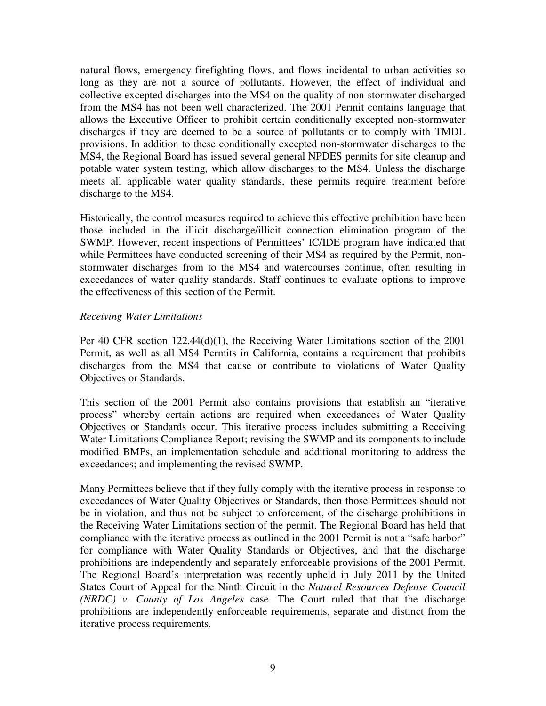natural flows, emergency firefighting flows, and flows incidental to urban activities so long as they are not a source of pollutants. However, the effect of individual and collective excepted discharges into the MS4 on the quality of non-stormwater discharged from the MS4 has not been well characterized. The 2001 Permit contains language that allows the Executive Officer to prohibit certain conditionally excepted non-stormwater discharges if they are deemed to be a source of pollutants or to comply with TMDL provisions. In addition to these conditionally excepted non-stormwater discharges to the MS4, the Regional Board has issued several general NPDES permits for site cleanup and potable water system testing, which allow discharges to the MS4. Unless the discharge meets all applicable water quality standards, these permits require treatment before discharge to the MS4.

Historically, the control measures required to achieve this effective prohibition have been those included in the illicit discharge/illicit connection elimination program of the SWMP. However, recent inspections of Permittees' IC/IDE program have indicated that while Permittees have conducted screening of their MS4 as required by the Permit, nonstormwater discharges from to the MS4 and watercourses continue, often resulting in exceedances of water quality standards. Staff continues to evaluate options to improve the effectiveness of this section of the Permit.

#### *Receiving Water Limitations*

Per 40 CFR section 122.44(d)(1), the Receiving Water Limitations section of the 2001 Permit, as well as all MS4 Permits in California, contains a requirement that prohibits discharges from the MS4 that cause or contribute to violations of Water Quality Objectives or Standards.

This section of the 2001 Permit also contains provisions that establish an "iterative process" whereby certain actions are required when exceedances of Water Quality Objectives or Standards occur. This iterative process includes submitting a Receiving Water Limitations Compliance Report; revising the SWMP and its components to include modified BMPs, an implementation schedule and additional monitoring to address the exceedances; and implementing the revised SWMP.

Many Permittees believe that if they fully comply with the iterative process in response to exceedances of Water Quality Objectives or Standards, then those Permittees should not be in violation, and thus not be subject to enforcement, of the discharge prohibitions in the Receiving Water Limitations section of the permit. The Regional Board has held that compliance with the iterative process as outlined in the 2001 Permit is not a "safe harbor" for compliance with Water Quality Standards or Objectives, and that the discharge prohibitions are independently and separately enforceable provisions of the 2001 Permit. The Regional Board's interpretation was recently upheld in July 2011 by the United States Court of Appeal for the Ninth Circuit in the *Natural Resources Defense Council (NRDC) v. County of Los Angeles* case. The Court ruled that that the discharge prohibitions are independently enforceable requirements, separate and distinct from the iterative process requirements.